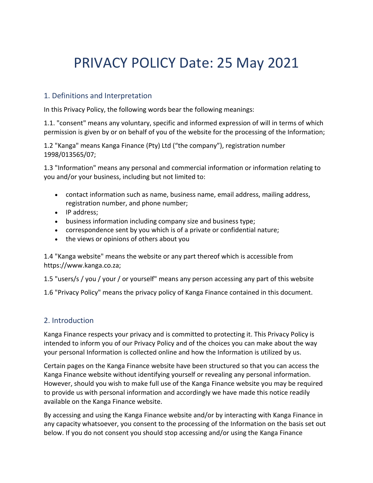# PRIVACY POLICY Date: 25 May 2021

#### 1. Definitions and Interpretation

In this Privacy Policy, the following words bear the following meanings:

1.1. "consent" means any voluntary, specific and informed expression of will in terms of which permission is given by or on behalf of you of the website for the processing of the Information;

1.2 "Kanga" means Kanga Finance (Pty) Ltd ("the company"), registration number 1998/013565/07;

1.3 "Information" means any personal and commercial information or information relating to you and/or your business, including but not limited to:

- contact information such as name, business name, email address, mailing address, registration number, and phone number;
- IP address;
- business information including company size and business type;
- correspondence sent by you which is of a private or confidential nature;
- the views or opinions of others about you

1.4 "Kanga website" means the website or any part thereof which is accessible from https://www.kanga.co.za;

1.5 "users/s / you / your / or yourself" means any person accessing any part of this website

1.6 "Privacy Policy" means the privacy policy of Kanga Finance contained in this document.

#### 2. Introduction

Kanga Finance respects your privacy and is committed to protecting it. This Privacy Policy is intended to inform you of our Privacy Policy and of the choices you can make about the way your personal Information is collected online and how the Information is utilized by us.

Certain pages on the Kanga Finance website have been structured so that you can access the Kanga Finance website without identifying yourself or revealing any personal information. However, should you wish to make full use of the Kanga Finance website you may be required to provide us with personal information and accordingly we have made this notice readily available on the Kanga Finance website.

By accessing and using the Kanga Finance website and/or by interacting with Kanga Finance in any capacity whatsoever, you consent to the processing of the Information on the basis set out below. If you do not consent you should stop accessing and/or using the Kanga Finance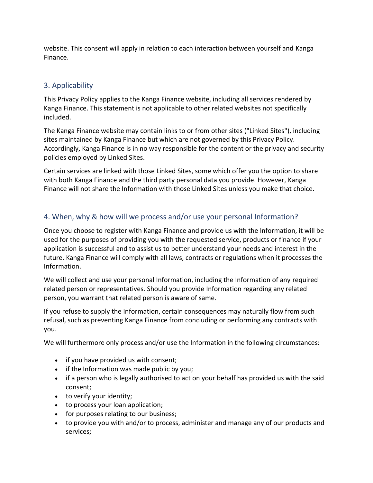website. This consent will apply in relation to each interaction between yourself and Kanga Finance.

## 3. Applicability

This Privacy Policy applies to the Kanga Finance website, including all services rendered by Kanga Finance. This statement is not applicable to other related websites not specifically included.

The Kanga Finance website may contain links to or from other sites ("Linked Sites"), including sites maintained by Kanga Finance but which are not governed by this Privacy Policy. Accordingly, Kanga Finance is in no way responsible for the content or the privacy and security policies employed by Linked Sites.

Certain services are linked with those Linked Sites, some which offer you the option to share with both Kanga Finance and the third party personal data you provide. However, Kanga Finance will not share the Information with those Linked Sites unless you make that choice.

## 4. When, why & how will we process and/or use your personal Information?

Once you choose to register with Kanga Finance and provide us with the Information, it will be used for the purposes of providing you with the requested service, products or finance if your application is successful and to assist us to better understand your needs and interest in the future. Kanga Finance will comply with all laws, contracts or regulations when it processes the Information.

We will collect and use your personal Information, including the Information of any required related person or representatives. Should you provide Information regarding any related person, you warrant that related person is aware of same.

If you refuse to supply the Information, certain consequences may naturally flow from such refusal, such as preventing Kanga Finance from concluding or performing any contracts with you.

We will furthermore only process and/or use the Information in the following circumstances:

- if you have provided us with consent;
- if the Information was made public by you;
- if a person who is legally authorised to act on your behalf has provided us with the said consent;
- to verify your identity;
- to process your loan application;
- for purposes relating to our business;
- to provide you with and/or to process, administer and manage any of our products and services;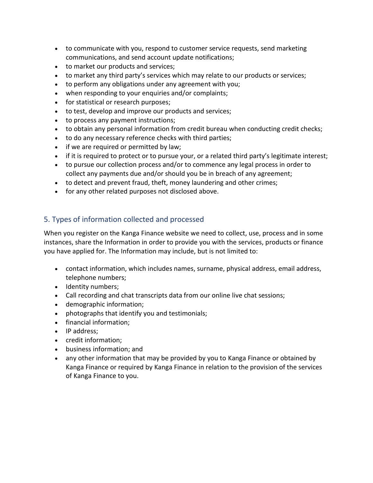- to communicate with you, respond to customer service requests, send marketing communications, and send account update notifications;
- to market our products and services;
- to market any third party's services which may relate to our products or services;
- to perform any obligations under any agreement with you;
- when responding to your enquiries and/or complaints;
- for statistical or research purposes;
- to test, develop and improve our products and services;
- to process any payment instructions;
- to obtain any personal information from credit bureau when conducting credit checks;
- to do any necessary reference checks with third parties;
- if we are required or permitted by law;
- if it is required to protect or to pursue your, or a related third party's legitimate interest;
- to pursue our collection process and/or to commence any legal process in order to collect any payments due and/or should you be in breach of any agreement;
- to detect and prevent fraud, theft, money laundering and other crimes;
- for any other related purposes not disclosed above.

#### 5. Types of information collected and processed

When you register on the Kanga Finance website we need to collect, use, process and in some instances, share the Information in order to provide you with the services, products or finance you have applied for. The Information may include, but is not limited to:

- contact information, which includes names, surname, physical address, email address, telephone numbers;
- Identity numbers;
- Call recording and chat transcripts data from our online live chat sessions;
- demographic information;
- photographs that identify you and testimonials;
- financial information;
- IP address;
- credit information;
- business information; and
- any other information that may be provided by you to Kanga Finance or obtained by Kanga Finance or required by Kanga Finance in relation to the provision of the services of Kanga Finance to you.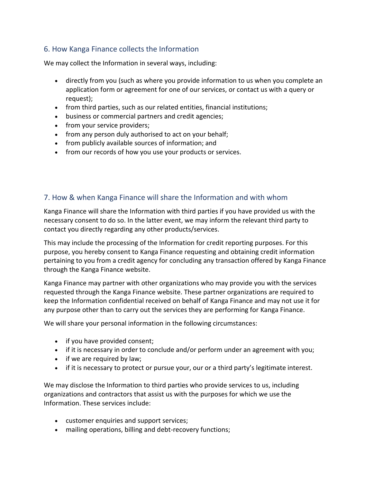## 6. How Kanga Finance collects the Information

We may collect the Information in several ways, including:

- directly from you (such as where you provide information to us when you complete an application form or agreement for one of our services, or contact us with a query or request);
- from third parties, such as our related entities, financial institutions;
- business or commercial partners and credit agencies;
- from your service providers;
- from any person duly authorised to act on your behalf;
- from publicly available sources of information; and
- from our records of how you use your products or services.

### 7. How & when Kanga Finance will share the Information and with whom

Kanga Finance will share the Information with third parties if you have provided us with the necessary consent to do so. In the latter event, we may inform the relevant third party to contact you directly regarding any other products/services.

This may include the processing of the Information for credit reporting purposes. For this purpose, you hereby consent to Kanga Finance requesting and obtaining credit information pertaining to you from a credit agency for concluding any transaction offered by Kanga Finance through the Kanga Finance website.

Kanga Finance may partner with other organizations who may provide you with the services requested through the Kanga Finance website. These partner organizations are required to keep the Information confidential received on behalf of Kanga Finance and may not use it for any purpose other than to carry out the services they are performing for Kanga Finance.

We will share your personal information in the following circumstances:

- if you have provided consent;
- if it is necessary in order to conclude and/or perform under an agreement with you;
- if we are required by law;
- if it is necessary to protect or pursue your, our or a third party's legitimate interest.

We may disclose the Information to third parties who provide services to us, including organizations and contractors that assist us with the purposes for which we use the Information. These services include:

- customer enquiries and support services;
- mailing operations, billing and debt-recovery functions;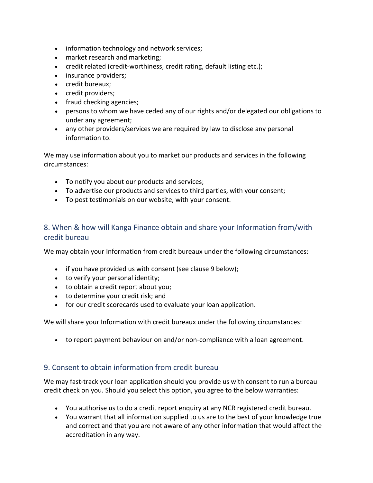- information technology and network services;
- market research and marketing;
- credit related (credit-worthiness, credit rating, default listing etc.);
- insurance providers:
- credit bureaux;
- credit providers;
- fraud checking agencies;
- persons to whom we have ceded any of our rights and/or delegated our obligations to under any agreement;
- any other providers/services we are required by law to disclose any personal information to.

We may use information about you to market our products and services in the following circumstances:

- To notify you about our products and services;
- To advertise our products and services to third parties, with your consent;
- To post testimonials on our website, with your consent.

## 8. When & how will Kanga Finance obtain and share your Information from/with credit bureau

We may obtain your Information from credit bureaux under the following circumstances:

- if you have provided us with consent (see clause 9 below);
- to verify your personal identity;
- to obtain a credit report about you;
- to determine your credit risk; and
- for our credit scorecards used to evaluate your loan application.

We will share your Information with credit bureaux under the following circumstances:

• to report payment behaviour on and/or non-compliance with a loan agreement.

#### 9. Consent to obtain information from credit bureau

We may fast-track your loan application should you provide us with consent to run a bureau credit check on you. Should you select this option, you agree to the below warranties:

- You authorise us to do a credit report enquiry at any NCR registered credit bureau.
- You warrant that all information supplied to us are to the best of your knowledge true and correct and that you are not aware of any other information that would affect the accreditation in any way.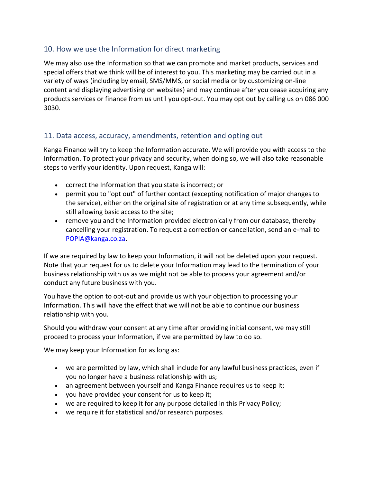#### 10. How we use the Information for direct marketing

We may also use the Information so that we can promote and market products, services and special offers that we think will be of interest to you. This marketing may be carried out in a variety of ways (including by email, SMS/MMS, or social media or by customizing on-line content and displaying advertising on websites) and may continue after you cease acquiring any products services or finance from us until you opt-out. You may opt out by calling us on 086 000 3030.

#### 11. Data access, accuracy, amendments, retention and opting out

Kanga Finance will try to keep the Information accurate. We will provide you with access to the Information. To protect your privacy and security, when doing so, we will also take reasonable steps to verify your identity. Upon request, Kanga will:

- correct the Information that you state is incorrect; or
- permit you to "opt out" of further contact (excepting notification of major changes to the service), either on the original site of registration or at any time subsequently, while still allowing basic access to the site;
- remove you and the Information provided electronically from our database, thereby cancelling your registration. To request a correction or cancellation, send an e-mail to [POPIA@kanga.co.za.](mailto:POPIA@kanga.co.za)

If we are required by law to keep your Information, it will not be deleted upon your request. Note that your request for us to delete your Information may lead to the termination of your business relationship with us as we might not be able to process your agreement and/or conduct any future business with you.

You have the option to opt-out and provide us with your objection to processing your Information. This will have the effect that we will not be able to continue our business relationship with you.

Should you withdraw your consent at any time after providing initial consent, we may still proceed to process your Information, if we are permitted by law to do so.

We may keep your Information for as long as:

- we are permitted by law, which shall include for any lawful business practices, even if you no longer have a business relationship with us;
- an agreement between yourself and Kanga Finance requires us to keep it;
- you have provided your consent for us to keep it;
- we are required to keep it for any purpose detailed in this Privacy Policy;
- we require it for statistical and/or research purposes.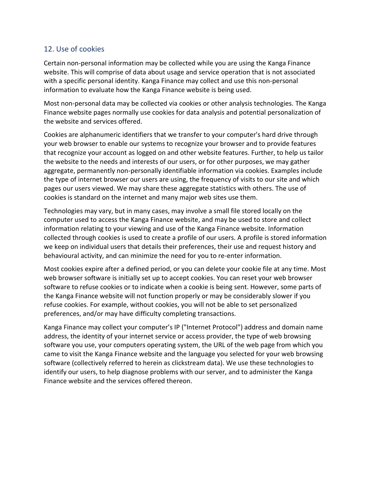#### 12. Use of cookies

Certain non-personal information may be collected while you are using the Kanga Finance website. This will comprise of data about usage and service operation that is not associated with a specific personal identity. Kanga Finance may collect and use this non-personal information to evaluate how the Kanga Finance website is being used.

Most non-personal data may be collected via cookies or other analysis technologies. The Kanga Finance website pages normally use cookies for data analysis and potential personalization of the website and services offered.

Cookies are alphanumeric identifiers that we transfer to your computer's hard drive through your web browser to enable our systems to recognize your browser and to provide features that recognize your account as logged on and other website features. Further, to help us tailor the website to the needs and interests of our users, or for other purposes, we may gather aggregate, permanently non-personally identifiable information via cookies. Examples include the type of internet browser our users are using, the frequency of visits to our site and which pages our users viewed. We may share these aggregate statistics with others. The use of cookies is standard on the internet and many major web sites use them.

Technologies may vary, but in many cases, may involve a small file stored locally on the computer used to access the Kanga Finance website, and may be used to store and collect information relating to your viewing and use of the Kanga Finance website. Information collected through cookies is used to create a profile of our users. A profile is stored information we keep on individual users that details their preferences, their use and request history and behavioural activity, and can minimize the need for you to re-enter information.

Most cookies expire after a defined period, or you can delete your cookie file at any time. Most web browser software is initially set up to accept cookies. You can reset your web browser software to refuse cookies or to indicate when a cookie is being sent. However, some parts of the Kanga Finance website will not function properly or may be considerably slower if you refuse cookies. For example, without cookies, you will not be able to set personalized preferences, and/or may have difficulty completing transactions.

Kanga Finance may collect your computer's IP ("Internet Protocol") address and domain name address, the identity of your internet service or access provider, the type of web browsing software you use, your computers operating system, the URL of the web page from which you came to visit the Kanga Finance website and the language you selected for your web browsing software (collectively referred to herein as clickstream data). We use these technologies to identify our users, to help diagnose problems with our server, and to administer the Kanga Finance website and the services offered thereon.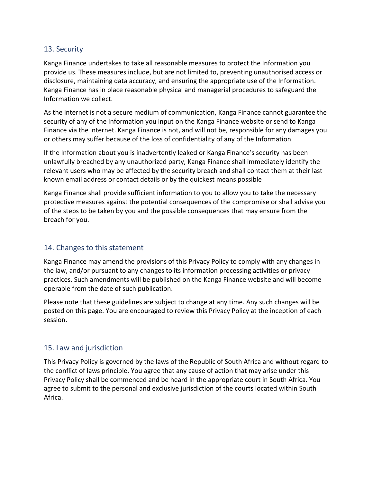#### 13. Security

Kanga Finance undertakes to take all reasonable measures to protect the Information you provide us. These measures include, but are not limited to, preventing unauthorised access or disclosure, maintaining data accuracy, and ensuring the appropriate use of the Information. Kanga Finance has in place reasonable physical and managerial procedures to safeguard the Information we collect.

As the internet is not a secure medium of communication, Kanga Finance cannot guarantee the security of any of the Information you input on the Kanga Finance website or send to Kanga Finance via the internet. Kanga Finance is not, and will not be, responsible for any damages you or others may suffer because of the loss of confidentiality of any of the Information.

If the Information about you is inadvertently leaked or Kanga Finance's security has been unlawfully breached by any unauthorized party, Kanga Finance shall immediately identify the relevant users who may be affected by the security breach and shall contact them at their last known email address or contact details or by the quickest means possible

Kanga Finance shall provide sufficient information to you to allow you to take the necessary protective measures against the potential consequences of the compromise or shall advise you of the steps to be taken by you and the possible consequences that may ensure from the breach for you.

#### 14. Changes to this statement

Kanga Finance may amend the provisions of this Privacy Policy to comply with any changes in the law, and/or pursuant to any changes to its information processing activities or privacy practices. Such amendments will be published on the Kanga Finance website and will become operable from the date of such publication.

Please note that these guidelines are subject to change at any time. Any such changes will be posted on this page. You are encouraged to review this Privacy Policy at the inception of each session.

#### 15. Law and jurisdiction

This Privacy Policy is governed by the laws of the Republic of South Africa and without regard to the conflict of laws principle. You agree that any cause of action that may arise under this Privacy Policy shall be commenced and be heard in the appropriate court in South Africa. You agree to submit to the personal and exclusive jurisdiction of the courts located within South Africa.